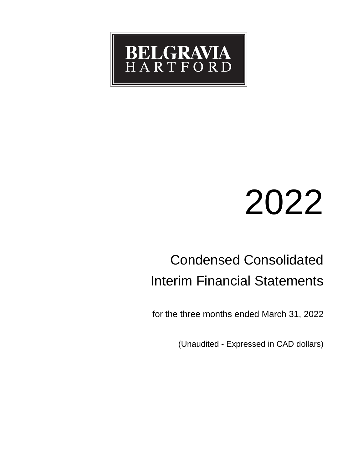

# 2022

# Condensed Consolidated Interim Financial Statements

for the three months ended March 31, 2022

(Unaudited - Expressed in CAD dollars)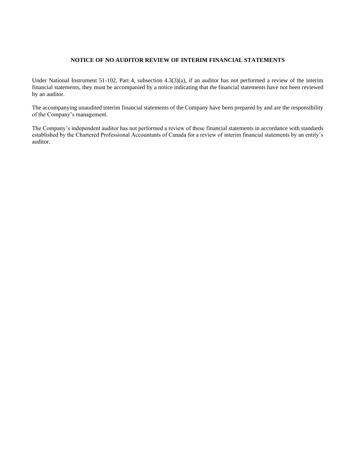# **NOTICE OF NO AUDITOR REVIEW OF INTERIM FINANCIAL STATEMENTS**

Under National Instrument 51-102, Part 4, subsection 4.3(3)(a), if an auditor has not performed a review of the interim financial statements, they must be accompanied by a notice indicating that the financial statements have not been reviewed by an auditor.

The accompanying unaudited interim financial statements of the Company have been prepared by and are the responsibility of the Company's management.

The Company's independent auditor has not performed a review of these financial statements in accordance with standards established by the Chartered Professional Accountants of Canada for a review of interim financial statements by an entity's auditor.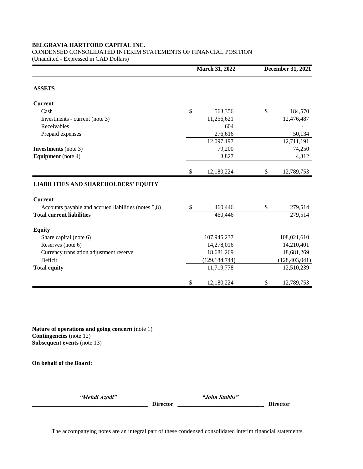CONDENSED CONSOLIDATED INTERIM STATEMENTS OF FINANCIAL POSITION

(Unaudited - Expressed in CAD Dollars)

|                                                      |    | March 31, 2022  | December 31, 2021 |  |  |
|------------------------------------------------------|----|-----------------|-------------------|--|--|
| <b>ASSETS</b>                                        |    |                 |                   |  |  |
| <b>Current</b>                                       |    |                 |                   |  |  |
| Cash                                                 | \$ | 563,356         | \$<br>184,570     |  |  |
| Investments - current (note 3)                       |    | 11,256,621      | 12,476,487        |  |  |
| Receivables                                          |    | 604             |                   |  |  |
| Prepaid expenses                                     |    | 276,616         | 50,134            |  |  |
|                                                      |    | 12,097,197      | 12,711,191        |  |  |
| <b>Investments</b> (note 3)                          |    | 79,200          | 74,250            |  |  |
| <b>Equipment</b> (note 4)                            |    | 3,827           | 4,312             |  |  |
|                                                      | \$ | 12,180,224      | \$<br>12,789,753  |  |  |
| <b>LIABILITIES AND SHAREHOLDERS' EQUITY</b>          |    |                 |                   |  |  |
| <b>Current</b>                                       |    |                 |                   |  |  |
| Accounts payable and accrued liabilities (notes 5,8) | \$ | 460,446         | \$<br>279,514     |  |  |
| <b>Total current liabilities</b>                     |    | 460,446         | 279,514           |  |  |
| <b>Equity</b>                                        |    |                 |                   |  |  |
| Share capital (note 6)                               |    | 107,945,237     | 108,021,610       |  |  |
| Reserves (note 6)                                    |    | 14,278,016      | 14,210,401        |  |  |
| Currency translation adjustment reserve              |    | 18,681,269      | 18,681,269        |  |  |
| Deficit                                              |    | (129, 184, 744) | (128, 403, 041)   |  |  |
| <b>Total equity</b>                                  |    | 11,719,778      | 12,510,239        |  |  |
|                                                      | \$ | 12,180,224      | \$<br>12,789,753  |  |  |

**Nature of operations and going concern** (note 1) **Contingencies** (note 12) **Subsequent events** (note 13)

**On behalf of the Board:**

*"Mehdi Azodi" "John Stubbs"* 

**\_\_\_\_\_\_\_\_\_\_\_\_\_\_\_\_\_\_\_\_\_\_\_\_\_\_\_\_\_\_\_\_\_\_\_\_\_\_\_ Director** *\_\_\_\_\_\_\_\_\_\_\_\_\_\_\_\_\_\_\_\_\_\_\_\_\_\_\_\_***\_ Director**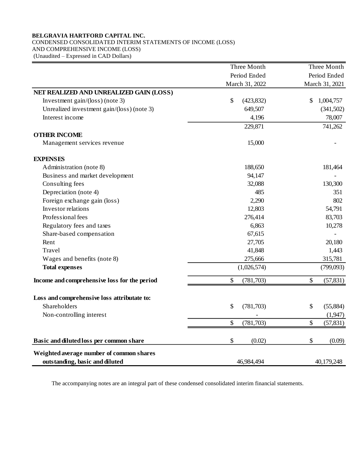CONDENSED CONSOLIDATED INTERIM STATEMENTS OF INCOME (LOSS) AND COMPREHENSIVE INCOME (LOSS)

(Unaudited – Expressed in CAD Dollars)

|                                              | Three Month      | Three Month     |
|----------------------------------------------|------------------|-----------------|
|                                              | Period Ended     | Period Ended    |
|                                              | March 31, 2022   | March 31, 2021  |
| NET REALIZED AND UNREALIZED GAIN (LOSS)      |                  |                 |
| Investment gain/( $\cos$ ) (note 3)          | \$<br>(423, 832) | \$<br>1,004,757 |
| Unrealized investment gain/(loss) (note 3)   | 649,507          | (341,502)       |
| Interest income                              | 4,196            | 78,007          |
|                                              | 229,871          | 741,262         |
| <b>OTHER INCOME</b>                          |                  |                 |
| Management services revenue                  | 15,000           |                 |
| <b>EXPENSES</b>                              |                  |                 |
| Administration (note 8)                      | 188,650          | 181,464         |
| Business and market development              | 94,147           |                 |
| Consulting fees                              | 32,088           | 130,300         |
| Depreciation (note 4)                        | 485              | 351             |
| Foreign exchange gain (loss)                 | 2,290            | 802             |
| Investor relations                           | 12,803           | 54,791          |
| Professional fees                            | 276,414          | 83,703          |
| Regulatory fees and taxes                    | 6,863            | 10,278          |
| Share-based compensation                     | 67,615           |                 |
| Rent                                         | 27,705           | 20,180          |
| Travel                                       | 41,848           | 1,443           |
| Wages and benefits (note 8)                  | 275,666          | 315,781         |
| <b>Total expenses</b>                        | (1,026,574)      | (799,093)       |
| Income and comprehensive loss for the period | \$<br>(781, 703) | \$<br>(57, 831) |
| Loss and comprehensive loss attributate to:  |                  |                 |
| Shareholders                                 | \$<br>(781, 703) | \$<br>(55,884)  |
| Non-controlling interest                     |                  | (1,947)         |
|                                              | \$<br>(781, 703) | \$<br>(57, 831) |
| Basic and diluted loss per common share      | \$<br>(0.02)     | \$<br>(0.09)    |
| Weighted average number of common shares     |                  |                 |
| outstanding, basic and diluted               | 46,984,494       | 40,179,248      |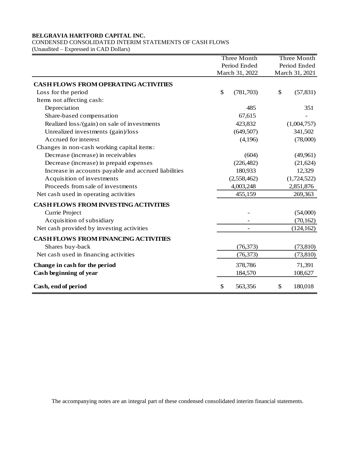# CONDENSED CONSOLIDATED INTERIM STATEMENTS OF CASH FLOWS

(Unaudited – Expressed in CAD Dollars)

|                                                      | <b>Three Month</b> | Three Month     |
|------------------------------------------------------|--------------------|-----------------|
|                                                      | Period Ended       | Period Ended    |
|                                                      | March 31, 2022     | March 31, 2021  |
| <b>CASH FLOWS FROM OPERATING ACTIVITIES</b>          |                    |                 |
| Loss for the period                                  | \$<br>(781, 703)   | \$<br>(57, 831) |
| Items not affecting cash:                            |                    |                 |
| Depreciation                                         | 485                | 351             |
| Share-based compensation                             | 67,615             |                 |
| Realized loss/(gain) on sale of investments          | 423,832            | (1,004,757)     |
| Unrealized investments (gain)/loss                   | (649, 507)         | 341,502         |
| Accrued for interest                                 | (4,196)            | (78,000)        |
| Changes in non-cash working capital items:           |                    |                 |
| Decrease (increase) in receivables                   | (604)              | (49,961)        |
| Decrease (increase) in prepaid expenses              | (226, 482)         | (21, 624)       |
| Increase in accounts payable and accrued liabilities | 180,933            | 12,329          |
| Acquisition of investments                           | (2,558,462)        | (1,724,522)     |
| Proceeds from sale of investments                    | 4,003,248          | 2,851,876       |
| Net cash used in operating activities                | 455,159            | 269,363         |
| <b>CASH FLOWS FROM INVESTING ACTIVITIES</b>          |                    |                 |
| Currie Project                                       |                    | (54,000)        |
| Acquisition of subsidiary                            |                    | (70, 162)       |
| Net cash provided by investing activities            |                    | (124, 162)      |
| <b>CASH FLOWS FROM FINANCING ACTIVITIES</b>          |                    |                 |
| Shares buy-back                                      | (76, 373)          | (73, 810)       |
| Net cash used in financing activities                | (76, 373)          | (73, 810)       |
| Change in cash for the period                        | 378,786            | 71,391          |
| Cash beginning of year                               | 184,570            | 108,627         |
| Cash, end of period                                  | \$<br>563,356      | \$<br>180,018   |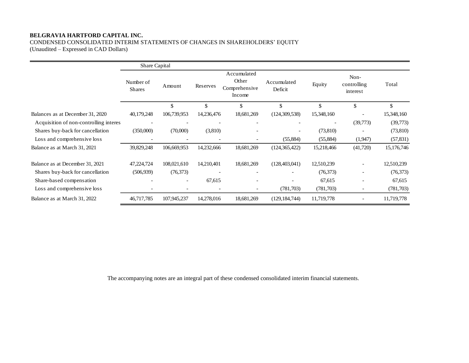CONDENSED CONSOLIDATED INTERIM STATEMENTS OF CHANGES IN SHAREHOLDERS' EQUITY

(Unaudited – Expressed in CAD Dollars)

|                                        | Share Capital              |                   |                          |                                                 |                        |                          |                                 |            |
|----------------------------------------|----------------------------|-------------------|--------------------------|-------------------------------------------------|------------------------|--------------------------|---------------------------------|------------|
|                                        | Number of<br><b>Shares</b> | Amount            | Reserves                 | Accumulated<br>Other<br>Comprehensive<br>Income | Accumulated<br>Deficit | Equity                   | Non-<br>controlling<br>interest | Total      |
|                                        |                            | \$                | \$                       | \$                                              | $\mathcal{S}$          | \$                       | \$                              | \$         |
| Balances as at December 31, 2020       | 40,179,248                 | 106,739,953       | 14,236,476               | 18,681,269                                      | (124, 309, 538)        | 15,348,160               |                                 | 15,348,160 |
| Acquisition of non-controlling interes |                            |                   |                          |                                                 |                        | $\overline{\phantom{a}}$ | (39,773)                        | (39,773)   |
| Shares buy-back for cancellation       | (350,000)                  | (70,000)          | (3,810)                  | $\overline{\phantom{a}}$                        |                        | (73, 810)                |                                 | (73, 810)  |
| Loss and comprehensive loss            |                            |                   |                          |                                                 | (55,884)               | (55,884)                 | (1,947)                         | (57, 831)  |
| Balance as at March 31, 2021           | 39,829,248                 | 106,669,953       | 14,232,666               | 18,681,269                                      | (124, 365, 422)        | 15,218,466               | (41,720)                        | 15,176,746 |
| Balance as at December 31, 2021        | 47,224,724                 | 108,021,610       | 14,210,401               | 18,681,269                                      | (128, 403, 041)        | 12,510,239               | $\overline{\phantom{a}}$        | 12,510,239 |
| Shares buy-back for cancellation       | (506, 939)                 | (76, 373)         |                          |                                                 |                        | (76,373)                 |                                 | (76,373)   |
| Share-based compensation               |                            |                   | 67,615                   |                                                 |                        | 67,615                   |                                 | 67,615     |
| Loss and comprehensive loss            |                            | $\qquad \qquad -$ | $\overline{\phantom{a}}$ |                                                 | (781,703)              | (781,703)                | $\overline{\phantom{a}}$        | (781,703)  |
| Balance as at March 31, 2022           | 46,717,785                 | 107,945,237       | 14,278,016               | 18,681,269                                      | (129, 184, 744)        | 11,719,778               |                                 | 11,719,778 |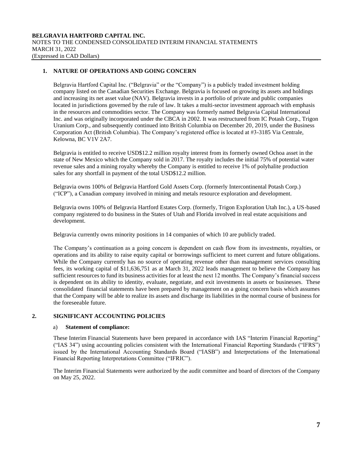# **1. NATURE OF OPERATIONS AND GOING CONCERN**

Belgravia Hartford Capital Inc. ("Belgravia" or the "Company") is a publicly traded investment holding company listed on the Canadian Securities Exchange. Belgravia is focused on growing its assets and holdings and increasing its net asset value (NAV). Belgravia invests in a portfolio of private and public companies located in jurisdictions governed by the rule of law. It takes a multi-sector investment approach with emphasis in the resources and commodities sector. The Company was formerly named Belgravia Capital International Inc. and was originally incorporated under the CBCA in 2002. It was restructured from IC Potash Corp., Trigon Uranium Corp., and subsequently continued into British Columbia on December 20, 2019, under the Business Corporation Act (British Columbia). The Company's registered office is located at #3-3185 Via Centrale, Kelowna, BC V1V 2A7.

Belgravia is entitled to receive USD\$12.2 million royalty interest from its formerly owned Ochoa asset in the state of New Mexico which the Company sold in 2017. The royalty includes the initial 75% of potential water revenue sales and a mining royalty whereby the Company is entitled to receive 1% of polyhalite production sales for any shortfall in payment of the total USD\$12.2 million.

Belgravia owns 100% of Belgravia Hartford Gold Assets Corp. (formerly Intercontinental Potash Corp.) ("ICP"), a Canadian company involved in mining and metals resource exploration and development.

Belgravia owns 100% of Belgravia Hartford Estates Corp. (formerly, Trigon Exploration Utah Inc.), a US-based company registered to do business in the States of Utah and Florida involved in real estate acquisitions and development.

Belgravia currently owns minority positions in 14 companies of which 10 are publicly traded.

The Company's continuation as a going concern is dependent on cash flow from its investments, royalties, or operations and its ability to raise equity capital or borrowings sufficient to meet current and future obligations. While the Company currently has no source of operating revenue other than management services consulting fees, its working capital of \$11,636,751 as at March 31, 2022 leads management to believe the Company has sufficient resources to fund its business activities for at least the next 12 months. The Company's financial success is dependent on its ability to identity, evaluate, negotiate, and exit investments in assets or businesses. These consolidated financial statements have been prepared by management on a going concern basis which assumes that the Company will be able to realize its assets and discharge its liabilities in the normal course of business for the foreseeable future.

# **2. SIGNIFICANT ACCOUNTING POLICIES**

#### a) **Statement of compliance:**

These Interim Financial Statements have been prepared in accordance with IAS "Interim Financial Reporting" ("IAS 34") using accounting policies consistent with the International Financial Reporting Standards ("IFRS") issued by the International Accounting Standards Board ("IASB") and Interpretations of the International Financial Reporting Interpretations Committee ("IFRIC").

The Interim Financial Statements were authorized by the audit committee and board of directors of the Company on May 25, 2022.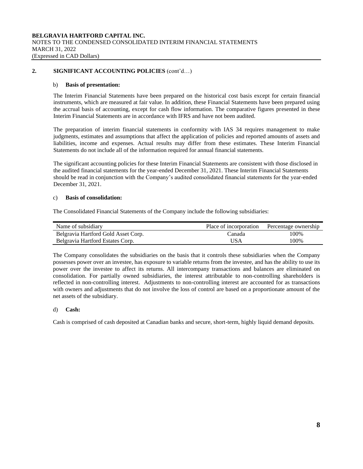# **2. SIGNIFICANT ACCOUNTING POLICIES** (cont'd…)

#### b) **Basis of presentation:**

The Interim Financial Statements have been prepared on the historical cost basis except for certain financial instruments, which are measured at fair value. In addition, these Financial Statements have been prepared using the accrual basis of accounting, except for cash flow information. The comparative figures presented in these Interim Financial Statements are in accordance with IFRS and have not been audited.

The preparation of interim financial statements in conformity with IAS 34 requires management to make judgments, estimates and assumptions that affect the application of policies and reported amounts of assets and liabilities, income and expenses. Actual results may differ from these estimates. These Interim Financial Statements do not include all of the information required for annual financial statements.

The significant accounting policies for these Interim Financial Statements are consistent with those disclosed in the audited financial statements for the year-ended December 31, 2021. These Interim Financial Statements should be read in conjunction with the Company's audited consolidated financial statements for the year-ended December 31, 2021.

#### c) **Basis of consolidation:**

The Consolidated Financial Statements of the Company include the following subsidiaries:

| Name of subsidiary                  | Place of incorporation | Percentage ownership |
|-------------------------------------|------------------------|----------------------|
| Belgravia Hartford Gold Asset Corp. | Canada                 | 100%                 |
| Belgravia Hartford Estates Corp.    | USA                    | 100%                 |

The Company consolidates the subsidiaries on the basis that it controls these subsidiaries when the Company possesses power over an investee, has exposure to variable returns from the investee, and has the ability to use its power over the investee to affect its returns. All intercompany transactions and balances are eliminated on consolidation. For partially owned subsidiaries, the interest attributable to non-controlling shareholders is reflected in non-controlling interest. Adjustments to non-controlling interest are accounted for as transactions with owners and adjustments that do not involve the loss of control are based on a proportionate amount of the net assets of the subsidiary.

#### d) **Cash:**

Cash is comprised of cash deposited at Canadian banks and secure, short-term, highly liquid demand deposits.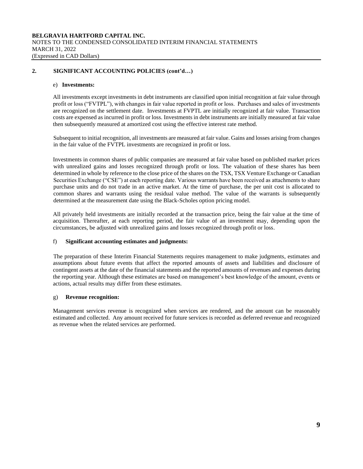# **2. SIGNIFICANT ACCOUNTING POLICIES (cont'd…)**

#### e) **Investments:**

All investments except investments in debt instruments are classified upon initial recognition at fair value through profit or loss ("FVTPL"), with changes in fair value reported in profit or loss. Purchases and sales of investments are recognized on the settlement date. Investments at FVPTL are initially recognized at fair value. Transaction costs are expensed as incurred in profit or loss. Investments in debt instruments are initially measured at fair value then subsequently measured at amortized cost using the effective interest rate method.

Subsequent to initial recognition, all investments are measured at fair value. Gains and losses arising from changes in the fair value of the FVTPL investments are recognized in profit or loss.

Investments in common shares of public companies are measured at fair value based on published market prices with unrealized gains and losses recognized through profit or loss. The valuation of these shares has been determined in whole by reference to the close price of the shares on the TSX, TSX Venture Exchange or Canadian Securities Exchange ("CSE") at each reporting date. Various warrants have been received as attachments to share purchase units and do not trade in an active market. At the time of purchase, the per unit cost is allocated to common shares and warrants using the residual value method. The value of the warrants is subsequently determined at the measurement date using the Black-Scholes option pricing model.

All privately held investments are initially recorded at the transaction price, being the fair value at the time of acquisition. Thereafter, at each reporting period, the fair value of an investment may, depending upon the circumstances, be adjusted with unrealized gains and losses recognized through profit or loss.

#### f) **Significant accounting estimates and judgments:**

The preparation of these Interim Financial Statements requires management to make judgments, estimates and assumptions about future events that affect the reported amounts of assets and liabilities and disclosure of contingent assets at the date of the financial statements and the reported amounts of revenues and expenses during the reporting year. Although these estimates are based on management's best knowledge of the amount, events or actions, actual results may differ from these estimates.

#### g) **Revenue recognition:**

Management services revenue is recognized when services are rendered, and the amount can be reasonably estimated and collected. Any amount received for future services is recorded as deferred revenue and recognized as revenue when the related services are performed.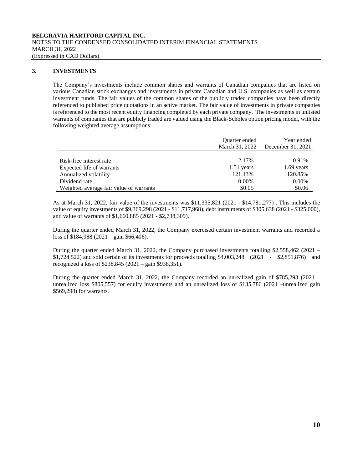# **3. INVESTMENTS**

The Company's investments include common shares and warrants of Canadian companies that are listed on various Canadian stock exchanges and investments in private Canadian and U.S. companies as well as certain investment funds. The fair values of the common shares of the publicly traded companies have been directly referenced to published price quotations in an active market. The fair value of investments in private companies is referenced to the most recent equity financing completed by each private company. The investments in unlisted warrants of companies that are publicly traded are valued using the Black-Scholes option pricing model, with the following weighted average assumptions:

|                                         | <b>Ouarter</b> ended<br>March 31, 2022 | Year ended<br>December 31, 2021 |
|-----------------------------------------|----------------------------------------|---------------------------------|
| Risk-free interest rate                 | 2.17%                                  | 0.91%                           |
| Expected life of warrants               | $1.51$ years                           | $1.69$ years                    |
| Annualized volatility                   | 121.13%                                | 120.85%                         |
| Dividend rate                           | $0.00\%$                               | $0.00\%$                        |
| Weighted average fair value of warrants | \$0.05                                 | \$0.06                          |

As at March 31, 2022, fair value of the investments was \$11,335,821 (2021 - \$14,781,277) . This includes the value of equity investments of \$9,369,298 (2021 - \$11,717,968), debt instruments of \$305,638 (2021 - \$325,000), and value of warrants of \$1,660,885 (2021 - \$2,738,309).

During the quarter ended March 31, 2022, the Company exercised certain investment warrants and recorded a loss of \$184,988 (2021 – gain \$66,406).

During the quarter ended March 31, 2022, the Company purchased investments totalling \$2,558,462 (2021 – \$1,724,522) and sold certain of its investments for proceeds totalling \$4,003,248 (2021 - \$2,851,876) and recognized a loss of \$238,845 (2021 – gain \$938,351).

During the quarter ended March 31, 2022, the Company recorded an unrealized gain of \$785,293 (2021 – unrealized loss \$805,557) for equity investments and an unrealized loss of \$135,786 (2021 –unrealized gain \$569,298) for warrants.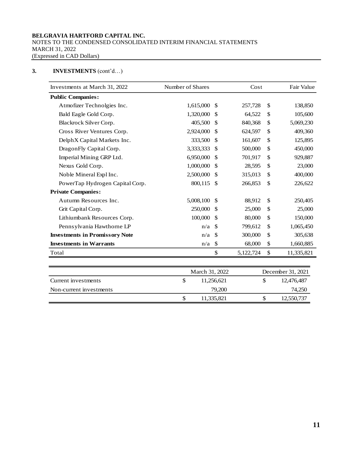#### **BELGRAVIA HARTFORD CAPITAL INC.**  NOTES TO THE CONDENSED CONSOLIDATED INTERIM FINANCIAL STATEMENTS MARCH 31, 2022 (Expressed in CAD Dollars)

# **3. INVESTMENTS** (cont'd…)

| Investments at March 31, 2022         | Number of Shares | Cost          |           | Fair Value |            |
|---------------------------------------|------------------|---------------|-----------|------------|------------|
| <b>Public Companies:</b>              |                  |               |           |            |            |
| Atmofizer Technolgies Inc.            | 1,615,000        | -S            | 257,728   | \$         | 138,850    |
| Bald Eagle Gold Corp.                 | 1,320,000        | <sup>\$</sup> | 64,522    | \$         | 105,600    |
| Blackrock Silver Corp.                | 405,500          | -S            | 840,368   | \$         | 5,069,230  |
| Cross River Ventures Corp.            | 2,924,000        | -S            | 624,597   | \$         | 409,360    |
| DelphX Capital Markets Inc.           | 333,500          | <sup>\$</sup> | 161,607   | \$         | 125,895    |
| DragonFly Capital Corp.               | 3,333,333        | <sup>\$</sup> | 500,000   | \$         | 450,000    |
| Imperial Mining GRP Ltd.              | 6,950,000        | <sup>\$</sup> | 701,917   | \$         | 929,887    |
| Nexus Gold Corp.                      | 1,000,000        | <sup>\$</sup> | 28,595    | \$         | 23,000     |
| Noble Mineral Expl Inc.               | 2,500,000        | -S            | 315,013   | \$         | 400,000    |
| PowerTap Hydrogen Capital Corp.       | 800,115          | -S            | 266,853   | \$         | 226,622    |
| <b>Private Companies:</b>             |                  |               |           |            |            |
| Autumn Resources Inc.                 | 5,008,100        | <sup>\$</sup> | 88,912    | \$         | 250,405    |
| Grit Capital Corp.                    | 250,000          | <sup>\$</sup> | 25,000    | \$         | 25,000     |
| Lithiumbank Resources Corp.           | 100,000          | -S            | 80,000    | \$         | 150,000    |
| Pennsylvania Hawthorne LP             | n/a              | -S            | 799,612   | \$         | 1,065,450  |
| <b>Investments in Promissory Note</b> | n/a              | -\$           | 300,000   | \$         | 305,638    |
| <b>Investments in Warrants</b>        | n/a              | $\mathbb{S}$  | 68,000    | \$         | 1,660,885  |
| Total                                 |                  | \$            | 5,122,724 | \$         | 11,335,821 |

|                         | March 31, 2022 |  | December 31, 2021 |
|-------------------------|----------------|--|-------------------|
| Current investments     | 11.256.621     |  | 12,476,487        |
| Non-current investments | 79,200         |  | 74,250            |
|                         | 11.335.821     |  | 12,550,737        |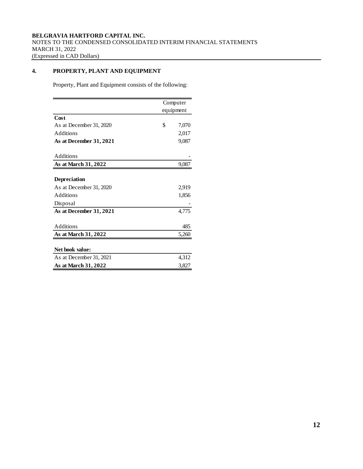# **4. PROPERTY, PLANT AND EQUIPMENT**

Property, Plant and Equipment consists of the following:

|                         | Computer    |
|-------------------------|-------------|
|                         | equipment   |
| Cost                    |             |
| As at December 31, 2020 | \$<br>7,070 |
| Additions               | 2,017       |
| As at December 31, 2021 | 9,087       |
| Additions               |             |
| As at March 31, 2022    | 9,087       |
|                         |             |
| Depreciation            |             |
| As at December 31, 2020 | 2,919       |
| Additions               | 1,856       |
| Disposal                |             |
| As at December 31, 2021 | 4,775       |
| Additions               | 485         |
| As at March 31, 2022    | 5,260       |
|                         |             |
| Net book value:         |             |
| As at December 31, 2021 | 4,312       |
| As at March 31, 2022    | 3,827       |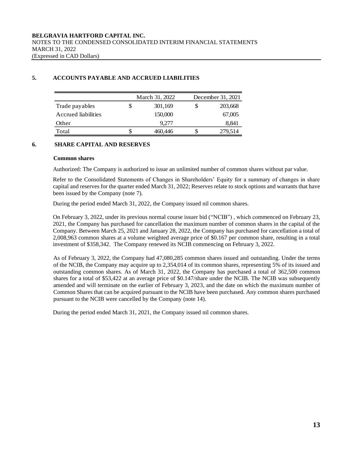# **5. ACCOUNTS PAYABLE AND ACCRUED LIABILITIES**

|                     | March 31, 2022 |   | December 31, 2021 |
|---------------------|----------------|---|-------------------|
| Trade payables      | \$<br>301,169  | S | 203,668           |
| Accrued liabilities | 150,000        |   | 67,005            |
| Other               | 9.277          |   | 8,841             |
| Total               | 460.446        |   | 279,514           |

# **6. SHARE CAPITAL AND RESERVES**

#### **Common shares**

Authorized: The Company is authorized to issue an unlimited number of common shares without par value.

Refer to the Consolidated Statements of Changes in Shareholders' Equity for a summary of changes in share capital and reserves for the quarter ended March 31, 2022; Reserves relate to stock options and warrants that have been issued by the Company (note 7).

During the period ended March 31, 2022, the Company issued nil common shares.

On February 3, 2022, under its previous normal course issuer bid ("NCIB") , which commenced on February 23, 2021, the Company has purchased for cancellation the maximum number of common shares in the capital of the Company. Between March 25, 2021 and January 28, 2022, the Company has purchased for cancellation a total of 2,008,963 common shares at a volume weighted average price of \$0.167 per common share, resulting in a total investment of \$358,342. The Company renewed its NCIB commencing on February 3, 2022.

As of February 3, 2022, the Company had 47,080,285 common shares issued and outstanding. Under the terms of the NCIB, the Company may acquire up to 2,354,014 of its common shares, representing 5% of its issued and outstanding common shares. As of March 31, 2022, the Company has purchased a total of 362,500 common shares for a total of \$53,422 at an average price of \$0.147/share under the NCIB. The NCIB was subsequently amended and will terminate on the earlier of February 3, 2023, and the date on which the maximum number of Common Shares that can be acquired pursuant to the NCIB have been purchased. Any common shares purchased pursuant to the NCIB were cancelled by the Company (note 14).

During the period ended March 31, 2021, the Company issued nil common shares.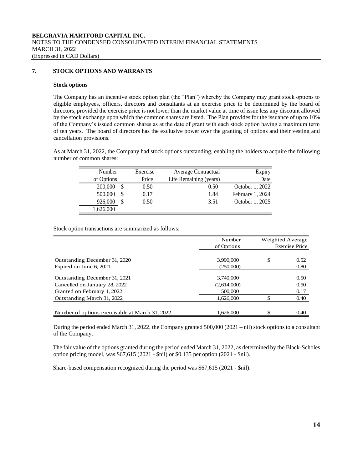# **7. STOCK OPTIONS AND WARRANTS**

#### **Stock options**

The Company has an incentive stock option plan (the "Plan") whereby the Company may grant stock options to eligible employees, officers, directors and consultants at an exercise price to be determined by the board of directors, provided the exercise price is not lower than the market value at time of issue less any discount allowed by the stock exchange upon which the common shares are listed. The Plan provides for the issuance of up to 10% of the Company's issued common shares as at the date of grant with each stock option having a maximum term of ten years. The board of directors has the exclusive power over the granting of options and their vesting and cancellation provisions.

As at March 31, 2022, the Company had stock options outstanding, enabling the holders to acquire the following number of common shares:

| Number       | Exercise | Average Contractual    | Expiry           |
|--------------|----------|------------------------|------------------|
| of Options   | Price    | Life Remaining (years) | Date             |
| 200,000      | 0.50     | 0.50                   | October 1, 2022  |
| 500,000<br>S | 0.17     | 1.84                   | February 1, 2024 |
| 926,000<br>S | 0.50     | 3.51                   | October 1, 2025  |
| 1,626,000    |          |                        |                  |

Stock option transactions are summarized as follows:

|                                                 | Number      |    | Weighted Average |
|-------------------------------------------------|-------------|----|------------------|
|                                                 | of Options  |    | Exercise Price   |
|                                                 |             |    |                  |
| Outstanding December 31, 2020                   | 3,990,000   | \$ | 0.52             |
| Expired on June 6, 2021                         | (250,000)   |    | 0.80             |
| Outstanding December 31, 2021                   | 3,740,000   |    | 0.50             |
| Cancelled on January 28, 2022                   | (2,614,000) |    | 0.50             |
| Granted on February 1, 2022                     | 500,000     |    | 0.17             |
| Outstanding March 31, 2022                      | 1.626,000   | ¢  | 0.40             |
|                                                 |             |    |                  |
| Number of options exercisable at March 31, 2022 | 1.626,000   | \$ | 0.40             |

During the period ended March 31, 2022, the Company granted 500,000 (2021 – nil) stock options to a consultant of the Company.

The fair value of the options granted during the period ended March 31, 2022, as determined by the Black-Scholes option pricing model, was \$67,615 (2021 - \$nil) or \$0.135 per option (2021 - \$nil).

Share-based compensation recognized during the period was \$67,615 (2021 - \$nil).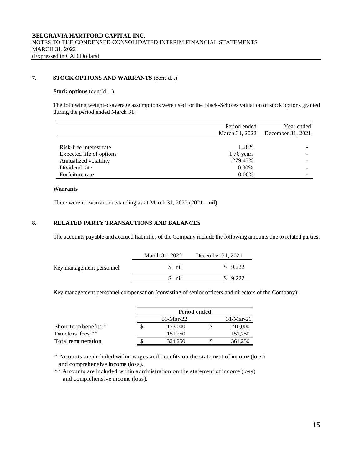# **7. STOCK OPTIONS AND WARRANTS** (cont'd...)

### **Stock options** (cont'd…)

The following weighted-average assumptions were used for the Black-Scholes valuation of stock options granted during the period ended March 31:

|                          | Period ended   | Year ended        |  |  |
|--------------------------|----------------|-------------------|--|--|
|                          | March 31, 2022 | December 31, 2021 |  |  |
|                          |                |                   |  |  |
| Risk-free interest rate  | 1.28%          |                   |  |  |
| Expected life of options | $1.76$ years   |                   |  |  |
| Annualized volatility    | 279.43%        |                   |  |  |
| Dividend rate            | $0.00\%$       |                   |  |  |
| Forfeiture rate          | $0.00\%$       |                   |  |  |

#### **Warrants**

There were no warrant outstanding as at March 31, 2022 (2021 – nil)

#### **8. RELATED PARTY TRANSACTIONS AND BALANCES**

The accounts payable and accrued liabilities of the Company include the following amounts due to related parties:

|                          | March 31, 2022 | December 31, 2021   |  |  |
|--------------------------|----------------|---------------------|--|--|
| Key management personnel | \$ nil         | $\frac{1}{2}$ 9.222 |  |  |
|                          | \$ nil         | 9.222               |  |  |

Key management personnel compensation (consisting of senior officers and directors of the Company):

|                       | Period ended |  |         |  |  |  |
|-----------------------|--------------|--|---------|--|--|--|
|                       | $31-Mar-22$  |  |         |  |  |  |
| Short-term benefits * | 173,000      |  | 210,000 |  |  |  |
| Directors' fees $**$  | 151.250      |  | 151,250 |  |  |  |
| Total remuneration    | 324,250      |  | 361,250 |  |  |  |

\* Amounts are included within wages and benefits on the statement of income (loss) and comprehensive income (loss).

\*\* Amounts are included within administration on the statement of income (loss) and comprehensive income (loss).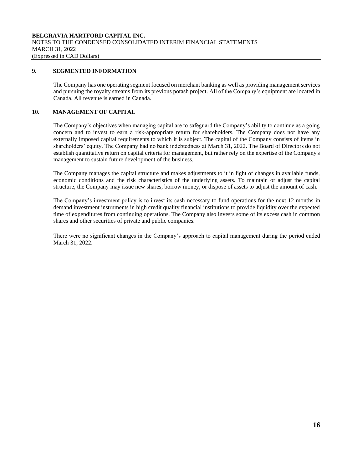## **9. SEGMENTED INFORMATION**

The Company has one operating segment focused on merchant banking as well as providing management services and pursuing the royalty streams from its previous potash project. All of the Company's equipment are located in Canada. All revenue is earned in Canada.

# **10. MANAGEMENT OF CAPITAL**

The Company's objectives when managing capital are to safeguard the Company's ability to continue as a going concern and to invest to earn a risk-appropriate return for shareholders. The Company does not have any externally imposed capital requirements to which it is subject. The capital of the Company consists of items in shareholders' equity. The Company had no bank indebtedness at March 31, 2022. The Board of Directors do not establish quantitative return on capital criteria for management, but rather rely on the expertise of the Company's management to sustain future development of the business.

The Company manages the capital structure and makes adjustments to it in light of changes in available funds, economic conditions and the risk characteristics of the underlying assets. To maintain or adjust the capital structure, the Company may issue new shares, borrow money, or dispose of assets to adjust the amount of cash.

The Company's investment policy is to invest its cash necessary to fund operations for the next 12 months in demand investment instruments in high credit quality financial institutions to provide liquidity over the expected time of expenditures from continuing operations. The Company also invests some of its excess cash in common shares and other securities of private and public companies.

There were no significant changes in the Company's approach to capital management during the period ended March 31, 2022.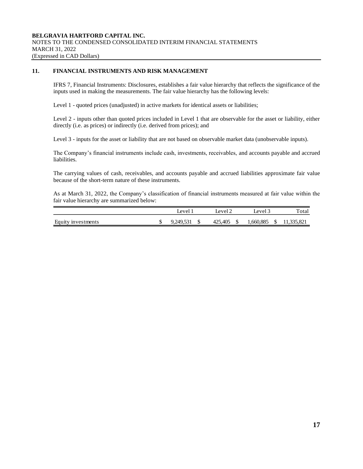# **11. FINANCIAL INSTRUMENTS AND RISK MANAGEMENT**

IFRS 7, Financial Instruments: Disclosures, establishes a fair value hierarchy that reflects the significance of the inputs used in making the measurements. The fair value hierarchy has the following levels:

Level 1 - quoted prices (unadjusted) in active markets for identical assets or liabilities;

Level 2 - inputs other than quoted prices included in Level 1 that are observable for the asset or liability, either directly (i.e. as prices) or indirectly (i.e. derived from prices); and

Level 3 - inputs for the asset or liability that are not based on observable market data (unobservable inputs).

The Company's financial instruments include cash, investments, receivables, and accounts payable and accrued liabilities.

The carrying values of cash, receivables, and accounts payable and accrued liabilities approximate fair value because of the short-term nature of these instruments.

As at March 31, 2022, the Company's classification of financial instruments measured at fair value within the fair value hierarchy are summarized below:

|                    | Level 1   | $\text{eval}_\mathcal{L}$ | Level 3   |   | Total     |
|--------------------|-----------|---------------------------|-----------|---|-----------|
| Equity investments | 9.249.531 | 425,405                   | 1,660,885 | D | 1.335.821 |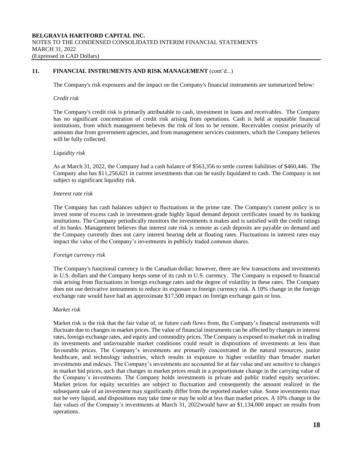# **11. FINANCIAL INSTRUMENTS AND RISK MANAGEMENT** (cont'd...)

The Company's risk exposures and the impact on the Company's financial instruments are summarized below:

#### *Credit risk*

The Company's credit risk is primarily attributable to cash, investment in loans and receivables. The Company has no significant concentration of credit risk arising from operations. Cash is held at reputable financial institutions, from which management believes the risk of loss to be remote. Receivables consist primarily of amounts due from government agencies, and from management services customers, which the Company believes will be fully collected.

#### *Liquidity risk*

As at March 31, 2022, the Company had a cash balance of \$563,356 to settle current liabilities of \$460,446. The Company also has \$11,256,621 in current investments that can be easily liquidated to cash. The Company is not subject to significant liquidity risk.

#### *Interest rate risk*

The Company has cash balances subject to fluctuations in the prime rate. The Company's current policy is to invest some of excess cash in investment-grade highly liquid demand deposit certificates issued by its banking institutions. The Company periodically monitors the investments it makes and is satisfied with the credit ratings of its banks. Management believes that interest rate risk is remote as cash deposits are payable on demand and the Company currently does not carry interest bearing debt at floating rates. Fluctuations in interest rates may impact the value of the Company's investments in publicly traded common shares.

#### *Foreign currency risk*

The Company's functional currency is the Canadian dollar; however, there are few transactions and investments in U.S. dollars and the Company keeps some of its cash in U.S. currency. The Company is exposed to financial risk arising from fluctuations in foreign exchange rates and the degree of volatility in these rates. The Company does not use derivative instruments to reduce its exposure to foreign currency risk. A 10% change in the foreign exchange rate would have had an approximate \$17,500 impact on foreign exchange gain or loss.

#### *Market risk*

Market risk is the risk that the fair value of, or future cash flows from, the Company's financial instruments will fluctuate due to changes in market prices. The value of financial instruments can be affected by changes in interest rates, foreign exchange rates, and equity and commodity prices. The Company is exposed to market risk in trading its investments and unfavourable market conditions could result in dispositions of investments at less than favourable prices. The Company's investments are primarily concentrated in the natural resources, junior healthcare, and technology industries, which results in exposure to higher volatility than broader market investments and indexes. The Company's investments are accounted for at fair value and are sensitive to changes in market bid prices, such that changes in market prices result in a proportionate change in the carrying value of the Company's investments. The Company holds investments in private and public traded equity securities. Market prices for equity securities are subject to fluctuation and consequently the amount realized in the subsequent sale of an investment may significantly differ from the reported market value. Some investments may not be very liquid, and dispositions may take time or may be sold at less than market prices. A 10% change in the fair values of the Company's investments at March 31, 2022would have an \$1,134,000 impact on results from operations.